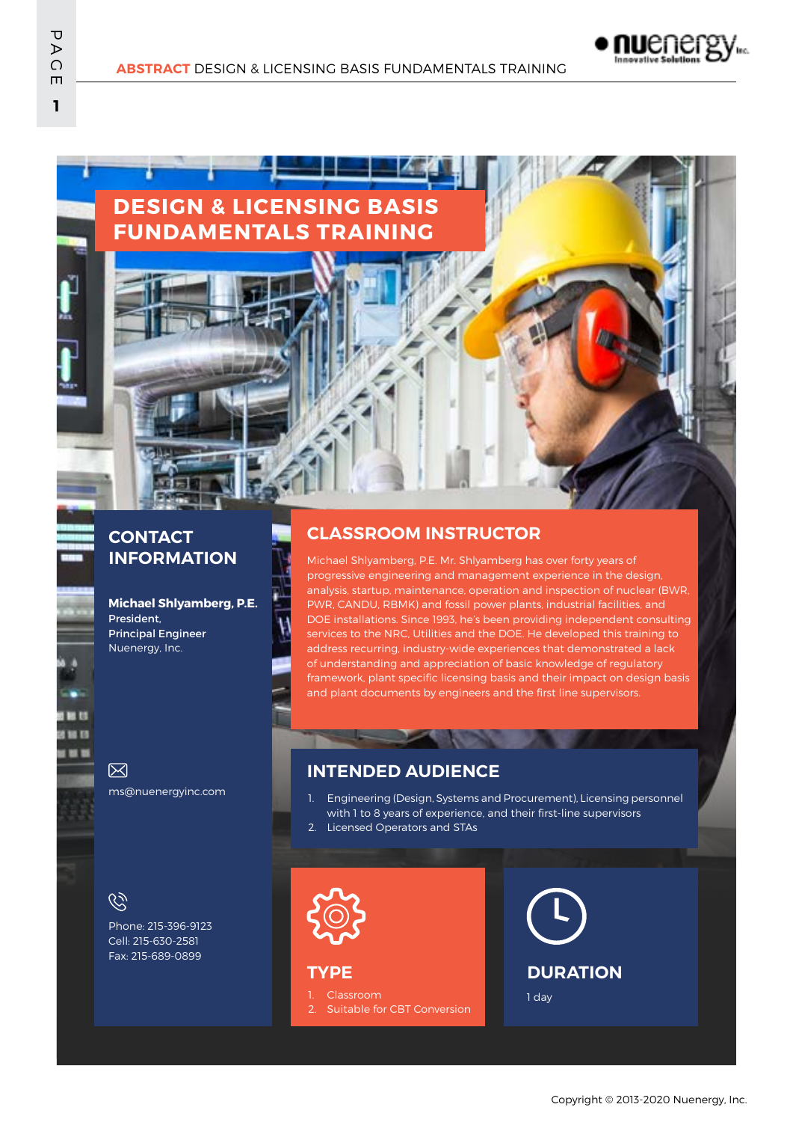

**DESIGN & LICENSING BASIS FUNDAMENTALS TRAINING**

# **INFORMATION**

**Michael Shlyamberg, P.E.** President, Principal Engineer Nuenergy, Inc.

#### **CONTACT CLASSROOM INSTRUCTOR**

Michael Shlyamberg, P.E. Mr. Shlyamberg has over forty years of progressive engineering and management experience in the design, analysis, startup, maintenance, operation and inspection of nuclear (BWR, PWR, CANDU, RBMK) and fossil power plants, industrial facilities, and DOE installations. Since 1993, he's been providing independent consulting services to the NRC, Utilities and the DOE. He developed this training to address recurring, industry-wide experiences that demonstrated a lack of understanding and appreciation of basic knowledge of regulatory framework, plant specific licensing basis and their impact on design basis and plant documents by engineers and the first line supervisors.

ms@nuenergyinc.com

**INTENDED AUDIENCE**

1. Engineering (Design, Systems and Procurement), Licensing personnel with 1 to 8 years of experience, and their first-line supervisors

2. Licensed Operators and STAs

 $\mathcal{C}$ 

冈

Phone: 215-396-9123 Cell: 215-630-2581 Fax: 215-689-0899

**TYPE**

1. Classroom Suitable for CBT Conversion



1 day